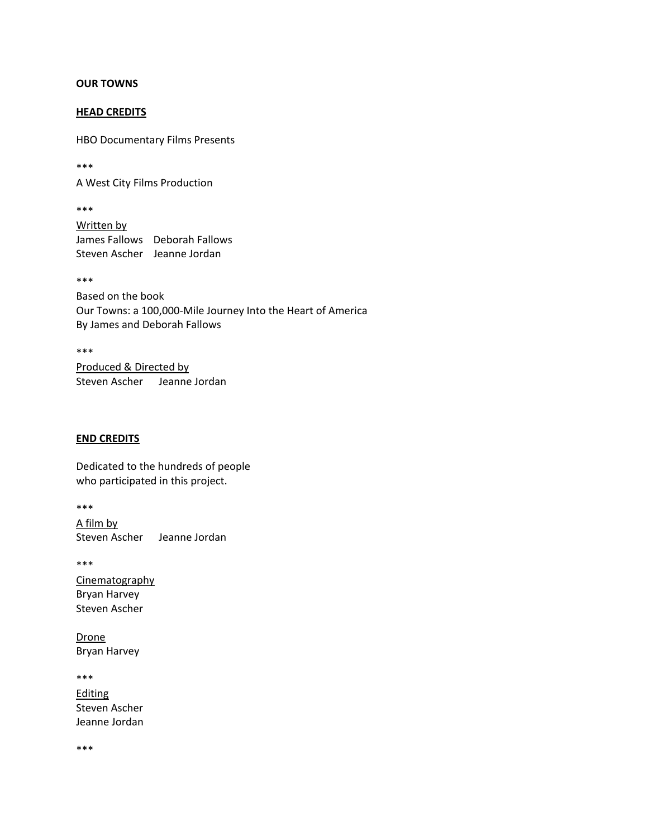## **OUR TOWNS**

## **HEAD CREDITS**

HBO Documentary Films Presents

\*\*\*

A West City Films Production

\*\*\* Written by James Fallows Deborah Fallows Steven Ascher Jeanne Jordan

\*\*\*

Based on the book Our Towns: a 100,000-Mile Journey Into the Heart of America By James and Deborah Fallows

\*\*\*

Produced & Directed by Steven Ascher Jeanne Jordan

# **END CREDITS**

Dedicated to the hundreds of people who participated in this project.

\*\*\* A film by

Steven Ascher Jeanne Jordan

\*\*\*

**Cinematography** Bryan Harvey Steven Ascher

Drone Bryan Harvey

\*\*\* Editing Steven Ascher Jeanne Jordan

\*\*\*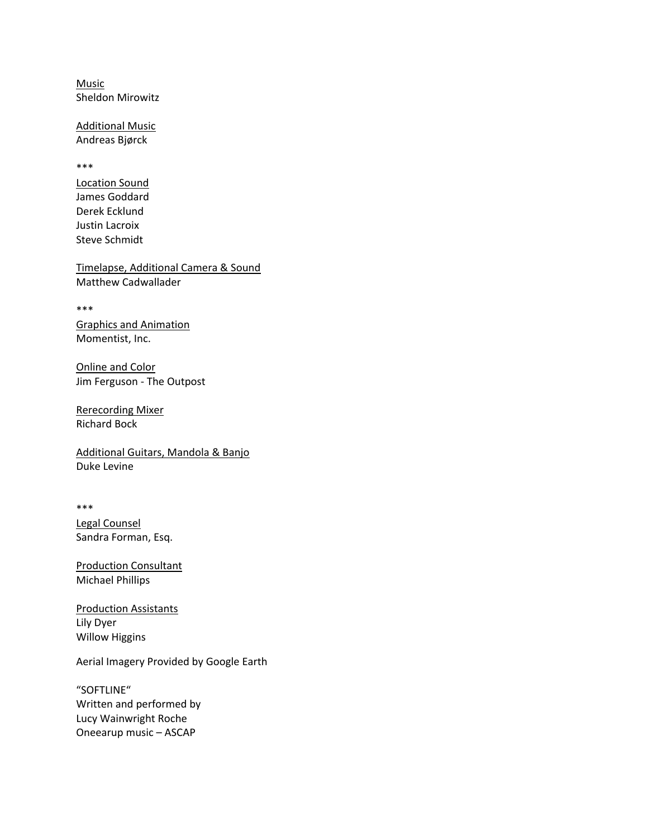Music Sheldon Mirowitz

Additional Music Andreas Bjørck

\*\*\*

Location Sound James Goddard Derek Ecklund Justin Lacroix Steve Schmidt

Timelapse, Additional Camera & Sound Matthew Cadwallader

\*\*\*

Graphics and Animation Momentist, Inc.

Online and Color Jim Ferguson - The Outpost

Rerecording Mixer Richard Bock

Additional Guitars, Mandola & Banjo Duke Levine

\*\*\*

Legal Counsel Sandra Forman, Esq.

Production Consultant Michael Phillips

Production Assistants Lily Dyer Willow Higgins

Aerial Imagery Provided by Google Earth

"SOFTLINE" Written and performed by Lucy Wainwright Roche Oneearup music – ASCAP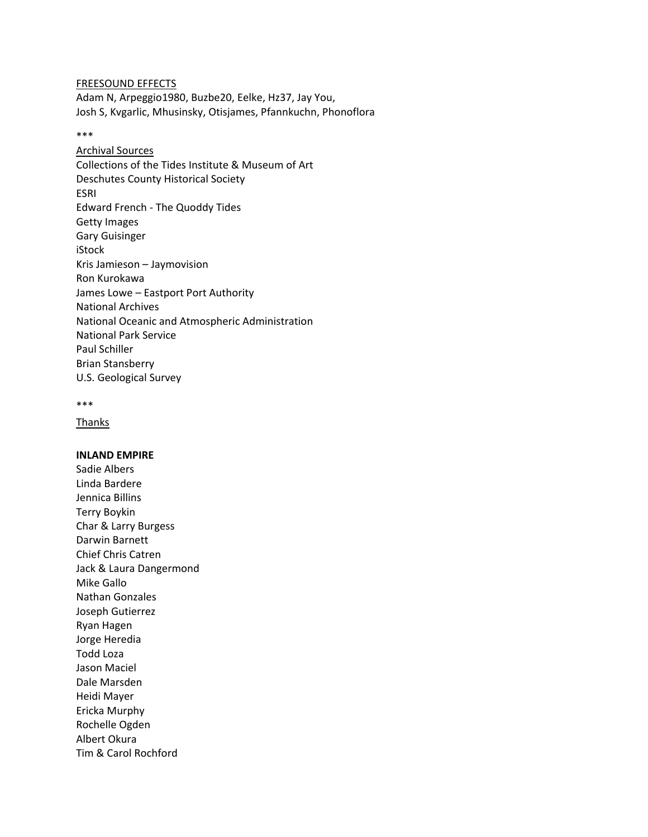FREESOUND EFFECTS Adam N, Arpeggio1980, Buzbe20, Eelke, Hz37, Jay You, Josh S, Kvgarlic, Mhusinsky, Otisjames, Pfannkuchn, Phonoflora

#### \*\*\*

Archival Sources Collections of the Tides Institute & Museum of Art Deschutes County Historical Society ESRI Edward French - The Quoddy Tides Getty Images Gary Guisinger iStock Kris Jamieson – Jaymovision Ron Kurokawa James Lowe – Eastport Port Authority National Archives National Oceanic and Atmospheric Administration National Park Service Paul Schiller Brian Stansberry U.S. Geological Survey

```
***
```
**Thanks** 

### **INLAND EMPIRE**

Sadie Albers Linda Bardere Jennica Billins Terry Boykin Char & Larry Burgess Darwin Barnett Chief Chris Catren Jack & Laura Dangermond Mike Gallo Nathan Gonzales Joseph Gutierrez Ryan Hagen Jorge Heredia Todd Loza Jason Maciel Dale Marsden Heidi Mayer Ericka Murphy Rochelle Ogden Albert Okura Tim & Carol Rochford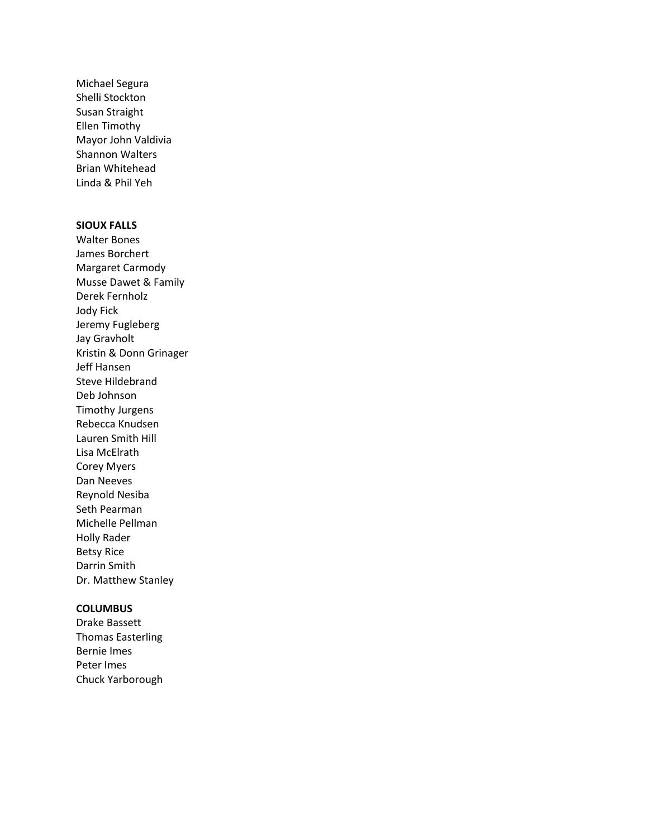Michael Segura Shelli Stockton Susan Straight Ellen Timothy Mayor John Valdivia Shannon Walters Brian Whitehead Linda & Phil Yeh

# **SIOUX FALLS**

Walter Bones James Borchert Margaret Carmody Musse Dawet & Family Derek Fernholz Jody Fick Jeremy Fugleberg Jay Gravholt Kristin & Donn Grinager Jeff Hansen Steve Hildebrand Deb Johnson Timothy Jurgens Rebecca Knudsen Lauren Smith Hill Lisa McElrath Corey Myers Dan Neeves Reynold Nesiba Seth Pearman Michelle Pellman Holly Rader Betsy Rice Darrin Smith Dr. Matthew Stanley

## **COLUMBUS**

Drake Bassett Thomas Easterling Bernie Imes Peter Imes Chuck Yarborough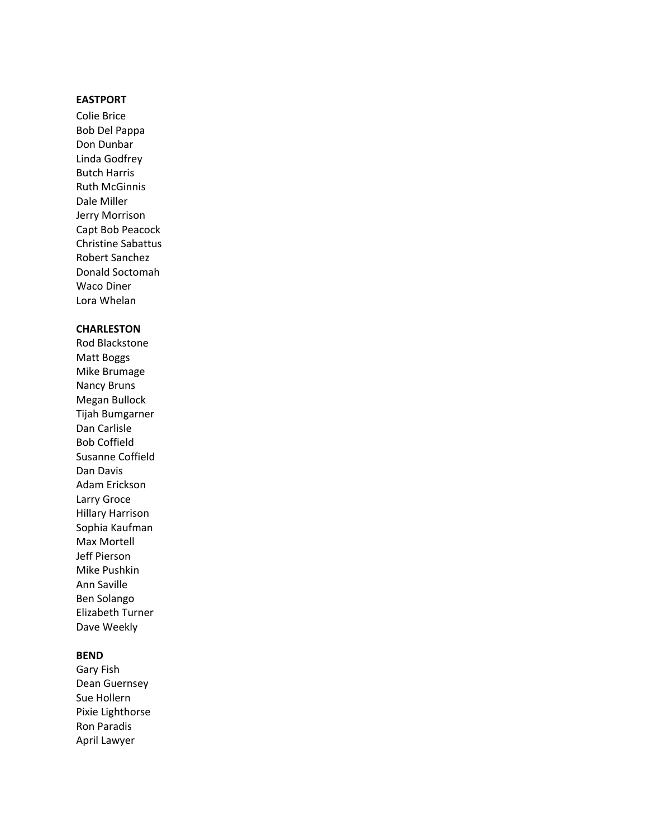# **EASTPORT**

Colie Brice Bob Del Pappa Don Dunbar Linda Godfrey Butch Harris Ruth McGinnis Dale Miller Jerry Morrison Capt Bob Peacock Christine Sabattus Robert Sanchez Donald Soctomah Waco Diner Lora Whelan

# **CHARLESTON**

Rod Blackstone Matt Boggs Mike Brumage Nancy Bruns Megan Bullock Tijah Bumgarner Dan Carlisle Bob Coffield Susanne Coffield Dan Davis Adam Erickson Larry Groce Hillary Harrison Sophia Kaufman Max Mortell Jeff Pierson Mike Pushkin Ann Saville Ben Solango Elizabeth Turner Dave Weekly

## **BEND**

Gary Fish Dean Guernsey Sue Hollern Pixie Lighthorse Ron Paradis April Lawyer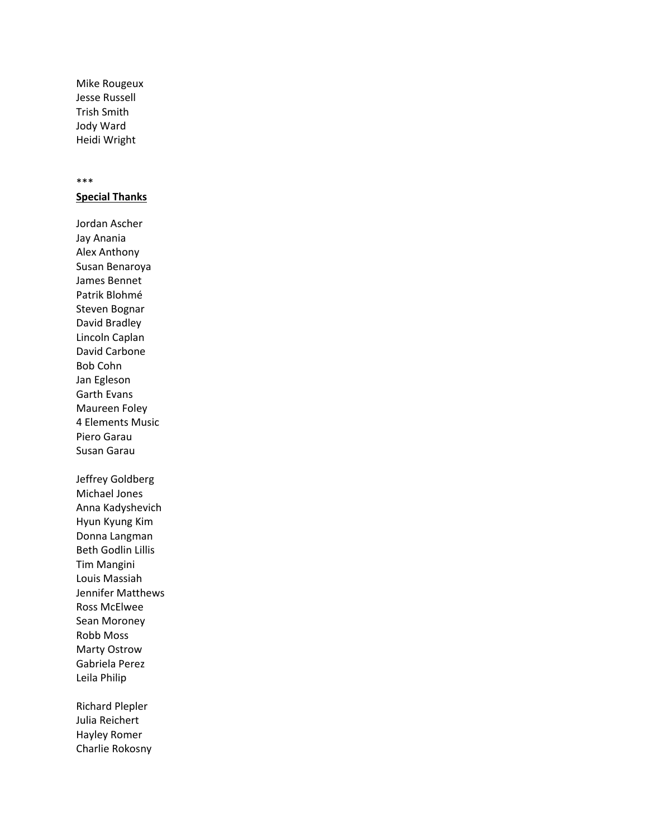Mike Rougeux Jesse Russell Trish Smith Jody Ward Heidi Wright

#### \*\*\*

**Special Thanks**

Jordan Ascher Jay Anania Alex Anthony Susan Benaroya James Bennet Patrik Blohmé Steven Bognar David Bradley Lincoln Caplan David Carbone Bob Cohn Jan Egleson Garth Evans Maureen Foley 4 Elements Music Piero Garau Susan Garau Jeffrey Goldberg Michael Jones Anna Kadyshevich Hyun Kyung Kim Donna Langman Beth Godlin Lillis Tim Mangini Louis Massiah Jennifer Matthews Ross McElwee Sean Moroney Robb Moss Marty Ostrow Gabriela Perez Leila Philip

Richard Plepler Julia Reichert Hayley Romer Charlie Rokosny